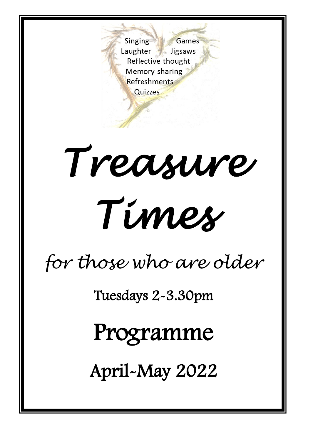Singing Games Laughter Jigsaws Reflective thought Memory sharing Refreshments Quizzes

# *Treasure Times*

### *for those who are older*

Tuesdays 2-3.30pm

Programme

April-May 2022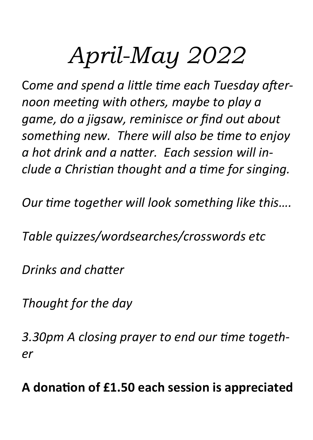### *April-May 2022*

C*ome and spend a little time each Tuesday afternoon meeting with others, maybe to play a game, do a jigsaw, reminisce or find out about something new. There will also be time to enjoy a hot drink and a natter. Each session will include a Christian thought and a time for singing.* 

*Our time together will look something like this….*

*Table quizzes/wordsearches/crosswords etc*

*Drinks and chatter*

*Thought for the day* 

*3.30pm A closing prayer to end our time together*

**A donation of £1.50 each session is appreciated**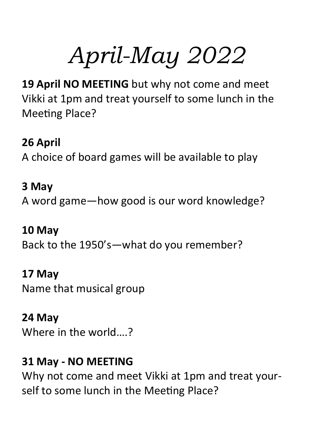## *April-May 2022*

**19 April NO MEETING** but why not come and meet Vikki at 1pm and treat yourself to some lunch in the Meeting Place?

**26 April** A choice of board games will be available to play

**3 May** A word game—how good is our word knowledge?

**10 May** Back to the 1950's—what do you remember?

**17 May**

Name that musical group

**24 May**

Where in the world….?

#### **31 May - NO MEETING**

Why not come and meet Vikki at 1pm and treat yourself to some lunch in the Meeting Place?